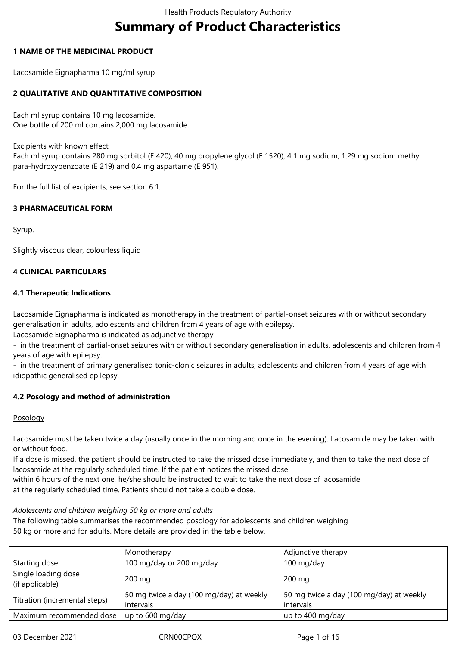# **Summary of Product Characteristics**

## **1 NAME OF THE MEDICINAL PRODUCT**

Lacosamide Eignapharma 10 mg/ml syrup

# **2 QUALITATIVE AND QUANTITATIVE COMPOSITION**

Each ml syrup contains 10 mg lacosamide. One bottle of 200 ml contains 2,000 mg lacosamide.

## Excipients with known effect

Each ml syrup contains 280 mg sorbitol (E 420), 40 mg propylene glycol (E 1520), 4.1 mg sodium, 1.29 mg sodium methyl para-hydroxybenzoate (E 219) and 0.4 mg aspartame (E 951).

For the full list of excipients, see section 6.1.

# **3 PHARMACEUTICAL FORM**

Syrup.

Slightly viscous clear, colourless liquid

# **4 CLINICAL PARTICULARS**

# **4.1 Therapeutic Indications**

Lacosamide Eignapharma is indicated as monotherapy in the treatment of partial-onset seizures with or without secondary generalisation in adults, adolescents and children from 4 years of age with epilepsy.

Lacosamide Eignapharma is indicated as adjunctive therapy

- in the treatment of partial-onset seizures with or without secondary generalisation in adults, adolescents and children from 4 years of age with epilepsy.

- in the treatment of primary generalised tonic-clonic seizures in adults, adolescents and children from 4 years of age with idiopathic generalised epilepsy.

# **4.2 Posology and method of administration**

## Posology

Lacosamide must be taken twice a day (usually once in the morning and once in the evening). Lacosamide may be taken with or without food.

If a dose is missed, the patient should be instructed to take the missed dose immediately, and then to take the next dose of lacosamide at the regularly scheduled time. If the patient notices the missed dose

within 6 hours of the next one, he/she should be instructed to wait to take the next dose of lacosamide

at the regularly scheduled time. Patients should not take a double dose.

# *Adolescents and children weighing 50 kg or more and adults*

The following table summarises the recommended posology for adolescents and children weighing 50 kg or more and for adults. More details are provided in the table below.

|                                        | Monotherapy                                           | Adjunctive therapy                                    |
|----------------------------------------|-------------------------------------------------------|-------------------------------------------------------|
| Starting dose                          | 100 mg/day or 200 mg/day                              | 100 mg/day                                            |
| Single loading dose<br>(if applicable) | 200 mg                                                | 200 mg                                                |
| Titration (incremental steps)          | 50 mg twice a day (100 mg/day) at weekly<br>intervals | 50 mg twice a day (100 mg/day) at weekly<br>intervals |
| Maximum recommended dose               | up to 600 mg/day                                      | up to 400 mg/day                                      |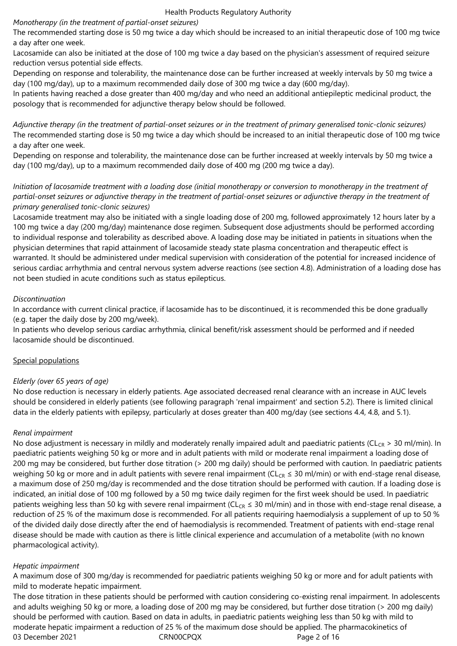## *Monotherapy (in the treatment of partial-onset seizures)*

The recommended starting dose is 50 mg twice a day which should be increased to an initial therapeutic dose of 100 mg twice a day after one week.

Lacosamide can also be initiated at the dose of 100 mg twice a day based on the physician's assessment of required seizure reduction versus potential side effects.

Depending on response and tolerability, the maintenance dose can be further increased at weekly intervals by 50 mg twice a day (100 mg/day), up to a maximum recommended daily dose of 300 mg twice a day (600 mg/day).

In patients having reached a dose greater than 400 mg/day and who need an additional antiepileptic medicinal product, the posology that is recommended for adjunctive therapy below should be followed.

*Adjunctive therapy (in the treatment of partial-onset seizures or in the treatment of primary generalised tonic-clonic seizures)* The recommended starting dose is 50 mg twice a day which should be increased to an initial therapeutic dose of 100 mg twice a day after one week.

Depending on response and tolerability, the maintenance dose can be further increased at weekly intervals by 50 mg twice a day (100 mg/day), up to a maximum recommended daily dose of 400 mg (200 mg twice a day).

## *Initiation of lacosamide treatment with a loading dose (initial monotherapy or conversion to monotherapy in the treatment of partial-onset seizures or adjunctive therapy in the treatment of partial-onset seizures or adjunctive therapy in the treatment of primary generalised tonic-clonic seizures)*

Lacosamide treatment may also be initiated with a single loading dose of 200 mg, followed approximately 12 hours later by a 100 mg twice a day (200 mg/day) maintenance dose regimen. Subsequent dose adjustments should be performed according to individual response and tolerability as described above. A loading dose may be initiated in patients in situations when the physician determines that rapid attainment of lacosamide steady state plasma concentration and therapeutic effect is warranted. It should be administered under medical supervision with consideration of the potential for increased incidence of serious cardiac arrhythmia and central nervous system adverse reactions (see section 4.8). Administration of a loading dose has not been studied in acute conditions such as status epilepticus.

## *Discontinuation*

In accordance with current clinical practice, if lacosamide has to be discontinued, it is recommended this be done gradually (e.g. taper the daily dose by 200 mg/week).

In patients who develop serious cardiac arrhythmia, clinical benefit/risk assessment should be performed and if needed lacosamide should be discontinued.

## Special populations

# *Elderly (over 65 years of age)*

No dose reduction is necessary in elderly patients. Age associated decreased renal clearance with an increase in AUC levels should be considered in elderly patients (see following paragraph 'renal impairment' and section 5.2). There is limited clinical data in the elderly patients with epilepsy, particularly at doses greater than 400 mg/day (see sections 4.4, 4.8, and 5.1).

## *Renal impairment*

No dose adjustment is necessary in mildly and moderately renally impaired adult and paediatric patients (CL<sub>CR</sub> > 30 ml/min). In paediatric patients weighing 50 kg or more and in adult patients with mild or moderate renal impairment a loading dose of 200 mg may be considered, but further dose titration (> 200 mg daily) should be performed with caution. In paediatric patients weighing 50 kg or more and in adult patients with severe renal impairment (CL<sub>CR</sub>  $\leq$  30 ml/min) or with end-stage renal disease, a maximum dose of 250 mg/day is recommended and the dose titration should be performed with caution. If a loading dose is indicated, an initial dose of 100 mg followed by a 50 mg twice daily regimen for the first week should be used. In paediatric patients weighing less than 50 kg with severe renal impairment ( $CL_{CR} \le 30$  ml/min) and in those with end-stage renal disease, a reduction of 25 % of the maximum dose is recommended. For all patients requiring haemodialysis a supplement of up to 50 % of the divided daily dose directly after the end of haemodialysis is recommended. Treatment of patients with end-stage renal disease should be made with caution as there is little clinical experience and accumulation of a metabolite (with no known pharmacological activity).

# *Hepatic impairment*

A maximum dose of 300 mg/day is recommended for paediatric patients weighing 50 kg or more and for adult patients with mild to moderate hepatic impairment.

03 December 2021 CRN00CPQX Page 2 of 16 The dose titration in these patients should be performed with caution considering co-existing renal impairment. In adolescents and adults weighing 50 kg or more, a loading dose of 200 mg may be considered, but further dose titration (> 200 mg daily) should be performed with caution. Based on data in adults, in paediatric patients weighing less than 50 kg with mild to moderate hepatic impairment a reduction of 25 % of the maximum dose should be applied. The pharmacokinetics of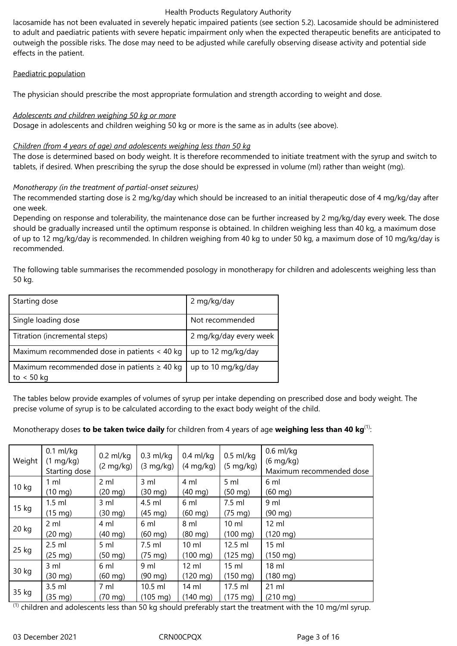lacosamide has not been evaluated in severely hepatic impaired patients (see section 5.2). Lacosamide should be administered to adult and paediatric patients with severe hepatic impairment only when the expected therapeutic benefits are anticipated to outweigh the possible risks. The dose may need to be adjusted while carefully observing disease activity and potential side effects in the patient.

## Paediatric population

The physician should prescribe the most appropriate formulation and strength according to weight and dose.

# *Adolescents and children weighing 50 kg or more*

Dosage in adolescents and children weighing 50 kg or more is the same as in adults (see above).

# *Children (from 4 years of age) and adolescents weighing less than 50 kg*

The dose is determined based on body weight. It is therefore recommended to initiate treatment with the syrup and switch to tablets, if desired. When prescribing the syrup the dose should be expressed in volume (ml) rather than weight (mg).

# *Monotherapy (in the treatment of partial-onset seizures)*

The recommended starting dose is 2 mg/kg/day which should be increased to an initial therapeutic dose of 4 mg/kg/day after one week.

Depending on response and tolerability, the maintenance dose can be further increased by 2 mg/kg/day every week. The dose should be gradually increased until the optimum response is obtained. In children weighing less than 40 kg, a maximum dose of up to 12 mg/kg/day is recommended. In children weighing from 40 kg to under 50 kg, a maximum dose of 10 mg/kg/day is recommended.

The following table summarises the recommended posology in monotherapy for children and adolescents weighing less than 50 kg.

| Starting dose                                                     | 2 mg/kg/day            |
|-------------------------------------------------------------------|------------------------|
| Single loading dose                                               | Not recommended        |
| Titration (incremental steps)                                     | 2 mg/kg/day every week |
| Maximum recommended dose in patients < 40 kg                      | up to 12 mg/kg/day     |
| Maximum recommended dose in patients $\geq 40$ kg<br>to $< 50$ kg | up to 10 mg/kg/day     |

The tables below provide examples of volumes of syrup per intake depending on prescribed dose and body weight. The precise volume of syrup is to be calculated according to the exact body weight of the child.

# Monotherapy doses **to be taken twice daily** for children from 4 years of age **weighing less than 40 kg**(1):

| Weight | $0.1$ ml/kg<br>$(1 \text{ mg/kg})$<br>Starting dose | $0.2$ ml/kg<br>$(2 \text{ mg/kg})$ | $0.3$ ml/kg<br>$(3 \text{ mg/kg})$ | $0.4$ ml/kg<br>$(4 \text{ mg/kg})$ | $0.5$ ml/kg<br>$(5 \text{ mg/kg})$ | $0.6$ ml/kg<br>$(6 \text{ mg/kg})$<br>Maximum recommended dose |
|--------|-----------------------------------------------------|------------------------------------|------------------------------------|------------------------------------|------------------------------------|----------------------------------------------------------------|
| 10 kg  | $1 \text{ ml}$                                      | 2 ml                               | $3 \,$ ml                          | 4 ml                               | 5 ml                               | 6 ml                                                           |
|        | $(10 \text{ mg})$                                   | $(20 \text{ mg})$                  | $(30 \text{ mg})$                  | $(40 \text{ mg})$                  | $(50 \text{ mg})$                  | $(60 \text{ mg})$                                              |
| 15 kg  | $1.5$ ml                                            | $3 \,$ ml                          | 4.5 ml                             | 6 ml                               | 7.5 ml                             | 9 <sub>ml</sub>                                                |
|        | $(15 \text{ mg})$                                   | $(30 \text{ mg})$                  | $(45 \text{ mg})$                  | $(60$ mg)                          | $(75 \text{ mg})$                  | $(90 \text{ mg})$                                              |
|        | $2 \mathrm{ml}$                                     | 4 ml                               | 6 ml                               | 8 ml                               | $10 \mathrm{m}$                    | $12 \mathrm{ml}$                                               |
| 20 kg  | $(20 \text{ mg})$                                   | $(40 \text{ mg})$                  | $(60 \text{ mg})$                  | $(80 \text{ mg})$                  | $(100 \text{ mg})$                 | $(120 \text{ mg})$                                             |
|        | $2.5$ ml                                            | 5 <sub>m</sub>                     | 7.5 ml                             | $10 \mathrm{m}$                    | $12.5$ ml                          | $15$ ml                                                        |
| 25 kg  | $(25 \text{ mg})$                                   | $(50 \text{ mg})$                  | $(75 \text{ mg})$                  | $(100 \text{ mg})$                 | $(125 \text{ mg})$                 | $(150 \text{ mg})$                                             |
|        | 3 ml                                                | 6 ml                               | 9 ml                               | $12 \text{ ml}$                    | $15 \text{ ml}$                    | $18$ ml                                                        |
| 30 kg  | $(30 \text{ mg})$                                   | $(60$ mg)                          | $(90 \text{ mg})$                  | $(120 \text{ mg})$                 | $(150 \text{ mg})$                 | $(180 \text{ mg})$                                             |
|        | $3.5$ ml                                            | 7 ml                               | 10.5 ml                            | 14 ml                              | 17.5 ml                            | $21$ ml                                                        |
| 35 kg  | $(35 \text{ mg})$                                   | $(70 \text{ mg})$                  | $(105 \text{ mg})$                 | $(140 \text{ mg})$                 | $(175 \text{ mg})$                 | $(210 \text{ mg})$                                             |

 $<sup>(1)</sup>$  children and adolescents less than 50 kg should preferably start the treatment with the 10 mg/ml syrup.</sup>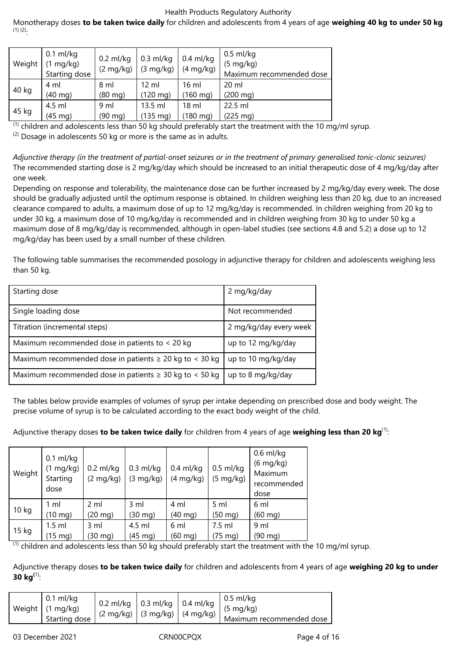Monotherapy doses **to be taken twice daily** for children and adolescents from 4 years of age **weighing 40 kg to under 50 kg**  $(1)$   $(2)$ .

| Weight | $0.1$ ml/kg<br>$(1 \text{ mg/kg})$<br>Starting dose | $0.2$ ml/kg<br>$(2 \text{ mg/kg})$ | $0.3$ ml/kg<br>$(3 \text{ mg/kg})$ | $0.4$ ml/kg<br>$(4 \text{ mg/kg})$ | $0.5$ ml/kg<br>$(5 \text{ mg/kg})$<br>Maximum recommended dose |
|--------|-----------------------------------------------------|------------------------------------|------------------------------------|------------------------------------|----------------------------------------------------------------|
| 40 kg  | 4 ml                                                | 8 ml                               | $12 \mathrm{ml}$                   | $16 \text{ ml}$                    | $20 \mathrm{ml}$                                               |
|        | $(40 \text{ mg})$                                   | $(80 \text{ mg})$                  | $(120 \text{ mg})$                 | $(160 \text{ mg})$                 | $(200 \text{ mg})$                                             |
|        | 4.5 ml                                              | 9 <sub>ml</sub>                    | 13.5 ml                            | 18 <sub>m</sub>                    | 22.5 ml                                                        |
| 45 kg  | (45 mg)                                             | (90 mg)                            | $(135 \, mg)$                      | $(180 \text{ mg})$                 | $(225 \text{ mg})$                                             |

 $<sup>(1)</sup>$  children and adolescents less than 50 kg should preferably start the treatment with the 10 mg/ml syrup.</sup>

 $(2)$  Dosage in adolescents 50 kg or more is the same as in adults.

*Adjunctive therapy (in the treatment of partial-onset seizures or in the treatment of primary generalised tonic-clonic seizures)* The recommended starting dose is 2 mg/kg/day which should be increased to an initial therapeutic dose of 4 mg/kg/day after one week.

Depending on response and tolerability, the maintenance dose can be further increased by 2 mg/kg/day every week. The dose should be gradually adjusted until the optimum response is obtained. In children weighing less than 20 kg, due to an increased clearance compared to adults, a maximum dose of up to 12 mg/kg/day is recommended. In children weighing from 20 kg to under 30 kg, a maximum dose of 10 mg/kg/day is recommended and in children weighing from 30 kg to under 50 kg a maximum dose of 8 mg/kg/day is recommended, although in open-label studies (see sections 4.8 and 5.2) a dose up to 12 mg/kg/day has been used by a small number of these children.

The following table summarises the recommended posology in adjunctive therapy for children and adolescents weighing less than 50 kg.

| Starting dose                                                | 2 mg/kg/day            |
|--------------------------------------------------------------|------------------------|
| Single loading dose                                          | Not recommended        |
| Titration (incremental steps)                                | 2 mg/kg/day every week |
| Maximum recommended dose in patients to < 20 kg              | up to 12 mg/kg/day     |
| Maximum recommended dose in patients $\geq 20$ kg to < 30 kg | up to 10 mg/kg/day     |
| Maximum recommended dose in patients $\geq$ 30 kg to < 50 kg | up to 8 mg/kg/day      |

The tables below provide examples of volumes of syrup per intake depending on prescribed dose and body weight. The precise volume of syrup is to be calculated according to the exact body weight of the child.

Adjunctive therapy doses **to be taken twice daily** for children from 4 years of age **weighing less than 20 kg**(1):

| Weight                 | $0.1$ ml/kg<br>$(1 \text{ mg/kg})$<br>Starting<br>dose | $0.2$ ml/kg<br>$(2 \text{ mg/kg})$ | $0.3$ ml/kg<br>$(3 \text{ mg/kg})$ | $0.4$ ml/kg<br>$(4 \text{ mg/kg})$ | $0.5$ ml/kg<br>$(5 \text{ mg/kg})$ | $0.6$ ml/kg<br>$(6 \text{ mg/kg})$<br>Maximum<br>recommended<br>dose |
|------------------------|--------------------------------------------------------|------------------------------------|------------------------------------|------------------------------------|------------------------------------|----------------------------------------------------------------------|
| 10 <sub>kg</sub>       | 1 ml                                                   | 2 ml                               | 3 ml                               | 4 ml                               | 5 ml                               | 6 ml                                                                 |
|                        | $(10 \text{ mg})$                                      | $(20 \text{ mg})$                  | $(30 \text{ mg})$                  | $(40 \text{ mg})$                  | $(50 \text{ mg})$                  | $(60 \text{ mg})$                                                    |
|                        | $1.5$ ml                                               | 3 ml                               | 4.5 ml                             | 6 ml                               | $7.5$ ml                           | 9 <sub>ml</sub>                                                      |
| 15 kg<br>$\mathcal{L}$ | $(15 \text{ mg})$                                      | (30 mg)                            | $(45 \text{ mg})$                  | $(60 \text{ mg})$                  | $(75 \text{ mg})$                  | (90 mg)                                                              |

 $<sup>(1)</sup>$  children and adolescents less than 50 kg should preferably start the treatment with the 10 mg/ml syrup.</sup>

Adjunctive therapy doses **to be taken twice daily** for children and adolescents from 4 years of age **weighing 20 kg to under 30 kg(**1):

|  | $0.1$ ml/kg<br>Weight   (1 mg/kg)<br>Starting dose | $\vert$ 0.2 ml/kg $\vert$ 0.3 ml/kg $\vert$ 0.4 ml/kg<br>$(2 \text{ mg/kg})$ (3 mg/kg)   (4 mg/kg) $'$ |  |  | $\vert$ 0.5 ml/kg<br>$(5 \text{ mg/kg})$<br>Maximum recommended dose |
|--|----------------------------------------------------|--------------------------------------------------------------------------------------------------------|--|--|----------------------------------------------------------------------|
|--|----------------------------------------------------|--------------------------------------------------------------------------------------------------------|--|--|----------------------------------------------------------------------|

03 December 2021 CRN00CPQX Page 4 of 16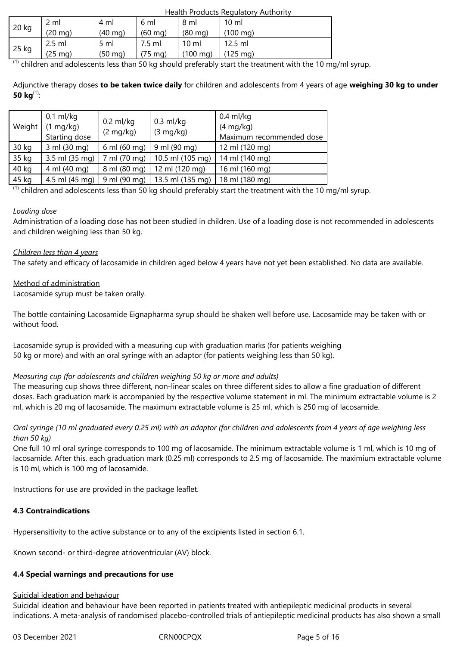| <b>Health Products Regulatory Authority</b> |
|---------------------------------------------|
|---------------------------------------------|

|       |                   |                   |                   |                    | .                  |
|-------|-------------------|-------------------|-------------------|--------------------|--------------------|
|       | 2 ml              | 4 ml              | 6 ml              | 8 ml               | $10 \mathrm{m}$    |
| 20 kg | $(20 \text{ mg})$ | $(40$ mg)         | $(60 \text{ mg})$ | $(80 \text{ mg})$  | $(100 \text{ mg})$ |
|       | $2.5$ ml          | $5 \text{ ml}$    | 7.5 ml            | 10 ml              | 12.5 ml            |
| 25 kg | $(25 \text{ mg})$ | $(50 \text{ mg})$ | $(75 \text{ mg})$ | $(100 \text{ mg})$ | $(125 \text{ mg})$ |

 $<sup>(1)</sup>$  children and adolescents less than 50 kg should preferably start the treatment with the 10 mg/ml syrup.</sup>

Adjunctive therapy doses **to be taken twice daily** for children and adolescents from 4 years of age **weighing 30 kg to under 50 kg**(1):

| Weight | $0.1$ ml/kg<br>$(1 \text{ mg/kg})$<br>Starting dose | $0.2$ ml/kg<br>$(2 \text{ mg/kg})$ | $0.3$ ml/kg<br>$(3 \text{ mg/kg})$ | $0.4$ ml/kg<br>$(4 \text{ mg/kg})$<br>Maximum recommended dose |
|--------|-----------------------------------------------------|------------------------------------|------------------------------------|----------------------------------------------------------------|
| 30 kg  | 3 ml (30 mg)                                        | 6 ml (60 mg)                       | 9 ml (90 mg)                       | 12 ml (120 mg)                                                 |
| 35 kg  | 3.5 ml (35 mg)                                      | 7 ml (70 mg)                       | 10.5 ml (105 mg)                   | 14 ml (140 mg)                                                 |
| 40 kg  | 4 ml (40 mg)                                        | 8 ml (80 mg)                       | 12 ml (120 mg)                     | 16 ml (160 mg)                                                 |
| 45 kg  | 4.5 ml (45 mg)                                      | 9 ml (90 mg)                       | 13.5 ml (135 mg)                   | 18 ml (180 mg)                                                 |

 $<sup>(1)</sup>$  children and adolescents less than 50 kg should preferably start the treatment with the 10 mg/ml syrup.</sup>

# *Loading dose*

Administration of a loading dose has not been studied in children. Use of a loading dose is not recommended in adolescents and children weighing less than 50 kg.

# *Children less than 4 years*

The safety and efficacy of lacosamide in children aged below 4 years have not yet been established. No data are available.

# Method of administration

Lacosamide syrup must be taken orally.

The bottle containing Lacosamide Eignapharma syrup should be shaken well before use. Lacosamide may be taken with or without food.

Lacosamide syrup is provided with a measuring cup with graduation marks (for patients weighing 50 kg or more) and with an oral syringe with an adaptor (for patients weighing less than 50 kg).

# *Measuring cup (for adolescents and children weighing 50 kg or more and adults)*

The measuring cup shows three different, non-linear scales on three different sides to allow a fine graduation of different doses. Each graduation mark is accompanied by the respective volume statement in ml. The minimum extractable volume is 2 ml, which is 20 mg of lacosamide. The maximum extractable volume is 25 ml, which is 250 mg of lacosamide.

# *Oral syringe (10 ml graduated every 0.25 ml) with an adaptor (for children and adolescents from 4 years of age weighing less than 50 kg)*

One full 10 ml oral syringe corresponds to 100 mg of lacosamide. The minimum extractable volume is 1 ml, which is 10 mg of lacosamide. After this, each graduation mark (0.25 ml) corresponds to 2.5 mg of lacosamide. The maximium extractable volume is 10 ml, which is 100 mg of lacosamide.

Instructions for use are provided in the package leaflet.

# **4.3 Contraindications**

Hypersensitivity to the active substance or to any of the excipients listed in section 6.1.

Known second- or third-degree atrioventricular (AV) block.

# **4.4 Special warnings and precautions for use**

# Suicidal ideation and behaviour

Suicidal ideation and behaviour have been reported in patients treated with antiepileptic medicinal products in several indications. A meta-analysis of randomised placebo-controlled trials of antiepileptic medicinal products has also shown a small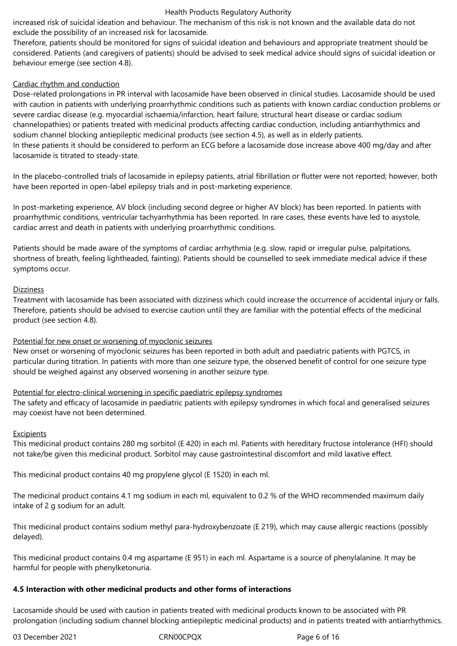increased risk of suicidal ideation and behaviour. The mechanism of this risk is not known and the available data do not exclude the possibility of an increased risk for lacosamide.

Therefore, patients should be monitored for signs of suicidal ideation and behaviours and appropriate treatment should be considered. Patients (and caregivers of patients) should be advised to seek medical advice should signs of suicidal ideation or behaviour emerge (see section 4.8).

## Cardiac rhythm and conduction

Dose-related prolongations in PR interval with lacosamide have been observed in clinical studies. Lacosamide should be used with caution in patients with underlying proarrhythmic conditions such as patients with known cardiac conduction problems or severe cardiac disease (e.g. myocardial ischaemia/infarction, heart failure, structural heart disease or cardiac sodium channelopathies) or patients treated with medicinal products affecting cardiac conduction, including antiarrhythmics and sodium channel blocking antiepileptic medicinal products (see section 4.5), as well as in elderly patients. In these patients it should be considered to perform an ECG before a lacosamide dose increase above 400 mg/day and after lacosamide is titrated to steady-state.

In the placebo-controlled trials of lacosamide in epilepsy patients, atrial fibrillation or flutter were not reported; however, both have been reported in open-label epilepsy trials and in post-marketing experience.

In post-marketing experience, AV block (including second degree or higher AV block) has been reported. In patients with proarrhythmic conditions, ventricular tachyarrhythmia has been reported. In rare cases, these events have led to asystole, cardiac arrest and death in patients with underlying proarrhythmic conditions.

Patients should be made aware of the symptoms of cardiac arrhythmia (e.g. slow, rapid or irregular pulse, palpitations, shortness of breath, feeling lightheaded, fainting). Patients should be counselled to seek immediate medical advice if these symptoms occur.

## **Dizziness**

Treatment with lacosamide has been associated with dizziness which could increase the occurrence of accidental injury or falls. Therefore, patients should be advised to exercise caution until they are familiar with the potential effects of the medicinal product (see section 4.8).

## Potential for new onset or worsening of myoclonic seizures

New onset or worsening of myoclonic seizures has been reported in both adult and paediatric patients with PGTCS, in particular during titration. In patients with more than one seizure type, the observed benefit of control for one seizure type should be weighed against any observed worsening in another seizure type.

# Potential for electro-clinical worsening in specific paediatric epilepsy syndromes

The safety and efficacy of lacosamide in paediatric patients with epilepsy syndromes in which focal and generalised seizures may coexist have not been determined.

## Excipients

This medicinal product contains 280 mg sorbitol (E 420) in each ml. Patients with hereditary fructose intolerance (HFI) should not take/be given this medicinal product. Sorbitol may cause gastrointestinal discomfort and mild laxative effect.

This medicinal product contains 40 mg propylene glycol (E 1520) in each ml.

The medicinal product contains 4.1 mg sodium in each ml, equivalent to 0.2 % of the WHO recommended maximum daily intake of 2 g sodium for an adult.

This medicinal product contains sodium methyl para-hydroxybenzoate (E 219), which may cause allergic reactions (possibly delayed).

This medicinal product contains 0.4 mg aspartame (E 951) in each ml. Aspartame is a source of phenylalanine. It may be harmful for people with phenylketonuria.

# **4.5 Interaction with other medicinal products and other forms of interactions**

Lacosamide should be used with caution in patients treated with medicinal products known to be associated with PR prolongation (including sodium channel blocking antiepileptic medicinal products) and in patients treated with antiarrhythmics.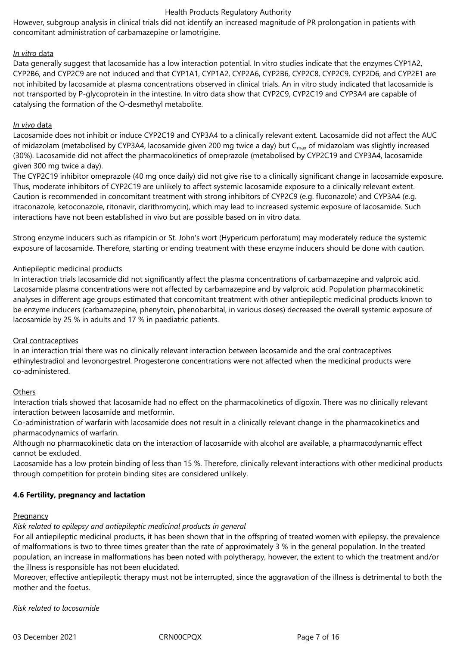However, subgroup analysis in clinical trials did not identify an increased magnitude of PR prolongation in patients with concomitant administration of carbamazepine or lamotrigine.

## *In vitro* data

Data generally suggest that lacosamide has a low interaction potential. In vitro studies indicate that the enzymes CYP1A2, CYP2B6, and CYP2C9 are not induced and that CYP1A1, CYP1A2, CYP2A6, CYP2B6, CYP2C8, CYP2C9, CYP2D6, and CYP2E1 are not inhibited by lacosamide at plasma concentrations observed in clinical trials. An in vitro study indicated that lacosamide is not transported by P-glycoprotein in the intestine. In vitro data show that CYP2C9, CYP2C19 and CYP3A4 are capable of catalysing the formation of the O-desmethyl metabolite.

## *In vivo* data

Lacosamide does not inhibit or induce CYP2C19 and CYP3A4 to a clinically relevant extent. Lacosamide did not affect the AUC of midazolam (metabolised by CYP3A4, lacosamide given 200 mg twice a day) but C<sub>max</sub> of midazolam was slightly increased (30%). Lacosamide did not affect the pharmacokinetics of omeprazole (metabolised by CYP2C19 and CYP3A4, lacosamide given 300 mg twice a day).

The CYP2C19 inhibitor omeprazole (40 mg once daily) did not give rise to a clinically significant change in lacosamide exposure. Thus, moderate inhibitors of CYP2C19 are unlikely to affect systemic lacosamide exposure to a clinically relevant extent. Caution is recommended in concomitant treatment with strong inhibitors of CYP2C9 (e.g. fluconazole) and CYP3A4 (e.g. itraconazole, ketoconazole, ritonavir, clarithromycin), which may lead to increased systemic exposure of lacosamide. Such interactions have not been established in vivo but are possible based on in vitro data.

Strong enzyme inducers such as rifampicin or St. John's wort (Hypericum perforatum) may moderately reduce the systemic exposure of lacosamide. Therefore, starting or ending treatment with these enzyme inducers should be done with caution.

## Antiepileptic medicinal products

In interaction trials lacosamide did not significantly affect the plasma concentrations of carbamazepine and valproic acid. Lacosamide plasma concentrations were not affected by carbamazepine and by valproic acid. Population pharmacokinetic analyses in different age groups estimated that concomitant treatment with other antiepileptic medicinal products known to be enzyme inducers (carbamazepine, phenytoin, phenobarbital, in various doses) decreased the overall systemic exposure of lacosamide by 25 % in adults and 17 % in paediatric patients.

## Oral contraceptives

In an interaction trial there was no clinically relevant interaction between lacosamide and the oral contraceptives ethinylestradiol and levonorgestrel. Progesterone concentrations were not affected when the medicinal products were co-administered.

## **Others**

Interaction trials showed that lacosamide had no effect on the pharmacokinetics of digoxin. There was no clinically relevant interaction between lacosamide and metformin.

Co-administration of warfarin with lacosamide does not result in a clinically relevant change in the pharmacokinetics and pharmacodynamics of warfarin.

Although no pharmacokinetic data on the interaction of lacosamide with alcohol are available, a pharmacodynamic effect cannot be excluded.

Lacosamide has a low protein binding of less than 15 %. Therefore, clinically relevant interactions with other medicinal products through competition for protein binding sites are considered unlikely.

# **4.6 Fertility, pregnancy and lactation**

## **Pregnancy**

*Risk related to epilepsy and antiepileptic medicinal products in general*

For all antiepileptic medicinal products, it has been shown that in the offspring of treated women with epilepsy, the prevalence of malformations is two to three times greater than the rate of approximately 3 % in the general population. In the treated population, an increase in malformations has been noted with polytherapy, however, the extent to which the treatment and/or the illness is responsible has not been elucidated.

Moreover, effective antiepileptic therapy must not be interrupted, since the aggravation of the illness is detrimental to both the mother and the foetus.

*Risk related to lacosamide*

03 December 2021 CRN00CPQX Page 7 of 16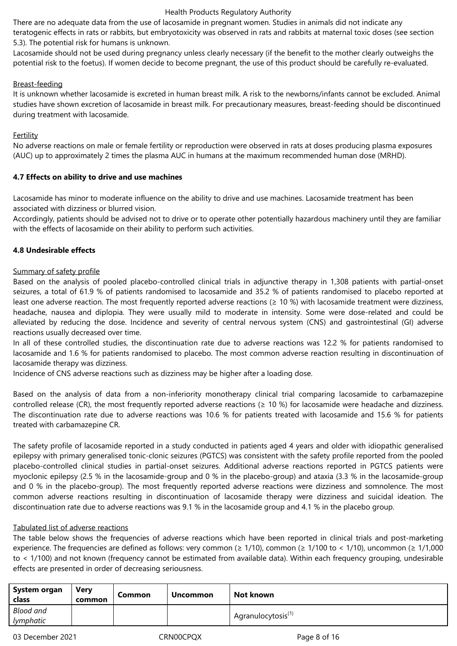There are no adequate data from the use of lacosamide in pregnant women. Studies in animals did not indicate any teratogenic effects in rats or rabbits, but embryotoxicity was observed in rats and rabbits at maternal toxic doses (see section 5.3). The potential risk for humans is unknown.

Lacosamide should not be used during pregnancy unless clearly necessary (if the benefit to the mother clearly outweighs the potential risk to the foetus). If women decide to become pregnant, the use of this product should be carefully re-evaluated.

## Breast-feeding

It is unknown whether lacosamide is excreted in human breast milk. A risk to the newborns/infants cannot be excluded. Animal studies have shown excretion of lacosamide in breast milk. For precautionary measures, breast-feeding should be discontinued during treatment with lacosamide.

## Fertility

No adverse reactions on male or female fertility or reproduction were observed in rats at doses producing plasma exposures (AUC) up to approximately 2 times the plasma AUC in humans at the maximum recommended human dose (MRHD).

## **4.7 Effects on ability to drive and use machines**

Lacosamide has minor to moderate influence on the ability to drive and use machines. Lacosamide treatment has been associated with dizziness or blurred vision.

Accordingly, patients should be advised not to drive or to operate other potentially hazardous machinery until they are familiar with the effects of lacosamide on their ability to perform such activities.

## **4.8 Undesirable effects**

## Summary of safety profile

Based on the analysis of pooled placebo-controlled clinical trials in adjunctive therapy in 1,308 patients with partial-onset seizures, a total of 61.9 % of patients randomised to lacosamide and 35.2 % of patients randomised to placebo reported at least one adverse reaction. The most frequently reported adverse reactions  $(≥ 10 %)$  with lacosamide treatment were dizziness, headache, nausea and diplopia. They were usually mild to moderate in intensity. Some were dose-related and could be alleviated by reducing the dose. Incidence and severity of central nervous system (CNS) and gastrointestinal (GI) adverse reactions usually decreased over time.

In all of these controlled studies, the discontinuation rate due to adverse reactions was 12.2 % for patients randomised to lacosamide and 1.6 % for patients randomised to placebo. The most common adverse reaction resulting in discontinuation of lacosamide therapy was dizziness.

Incidence of CNS adverse reactions such as dizziness may be higher after a loading dose.

Based on the analysis of data from a non-inferiority monotherapy clinical trial comparing lacosamide to carbamazepine controlled release (CR), the most frequently reported adverse reactions ( $\geq$  10 %) for lacosamide were headache and dizziness. The discontinuation rate due to adverse reactions was 10.6 % for patients treated with lacosamide and 15.6 % for patients treated with carbamazepine CR.

The safety profile of lacosamide reported in a study conducted in patients aged 4 years and older with idiopathic generalised epilepsy with primary generalised tonic-clonic seizures (PGTCS) was consistent with the safety profile reported from the pooled placebo-controlled clinical studies in partial-onset seizures. Additional adverse reactions reported in PGTCS patients were myoclonic epilepsy (2.5 % in the lacosamide-group and 0 % in the placebo-group) and ataxia (3.3 % in the lacosamide-group and 0 % in the placebo-group). The most frequently reported adverse reactions were dizziness and somnolence. The most common adverse reactions resulting in discontinuation of lacosamide therapy were dizziness and suicidal ideation. The discontinuation rate due to adverse reactions was 9.1 % in the lacosamide group and 4.1 % in the placebo group.

# Tabulated list of adverse reactions

The table below shows the frequencies of adverse reactions which have been reported in clinical trials and post-marketing experience. The frequencies are defined as follows: very common (≥ 1/10), common (≥ 1/100 to < 1/10), uncommon (≥ 1/1,000 to < 1/100) and not known (frequency cannot be estimated from available data). Within each frequency grouping, undesirable effects are presented in order of decreasing seriousness.

| System organ<br>class | Verv<br>common | Common | <b>Uncommon</b>                | Not known |
|-----------------------|----------------|--------|--------------------------------|-----------|
| Blood and             |                |        | Agranulocytosis <sup>(1)</sup> |           |
| lymphatic             |                |        |                                |           |

03 December 2021 CRN00CPQX Page 8 of 16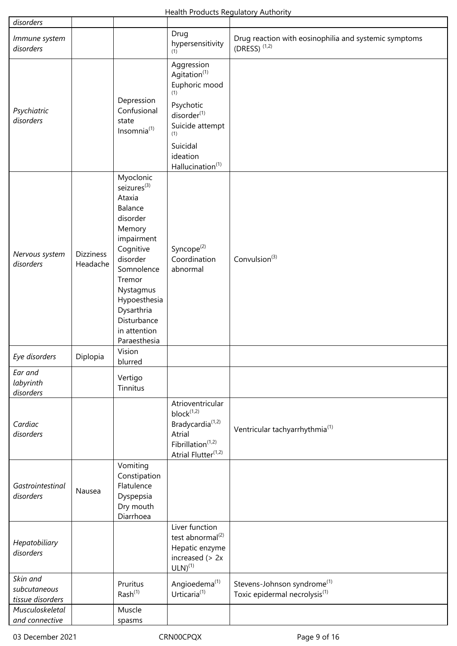| disorders                                    |                              |                                                                                                                                                                                                                                          |                                                                                                                                                                                          |                                                                                      |
|----------------------------------------------|------------------------------|------------------------------------------------------------------------------------------------------------------------------------------------------------------------------------------------------------------------------------------|------------------------------------------------------------------------------------------------------------------------------------------------------------------------------------------|--------------------------------------------------------------------------------------|
| Immune system<br>disorders                   |                              |                                                                                                                                                                                                                                          | Drug<br>hypersensitivity<br>(1)                                                                                                                                                          | Drug reaction with eosinophilia and systemic symptoms<br>(DRESS) $(1,2)$             |
| Psychiatric<br>disorders                     |                              | Depression<br>Confusional<br>state<br>Insomnia(1)                                                                                                                                                                                        | Aggression<br>Agitation <sup>(1)</sup><br>Euphoric mood<br>(1)<br>Psychotic<br>disorder <sup>(1)</sup><br>Suicide attempt<br>(1)<br>Suicidal<br>ideation<br>Hallucination <sup>(1)</sup> |                                                                                      |
| Nervous system<br>disorders                  | <b>Dizziness</b><br>Headache | Myoclonic<br>seizures <sup>(3)</sup><br>Ataxia<br>Balance<br>disorder<br>Memory<br>impairment<br>Cognitive<br>disorder<br>Somnolence<br>Tremor<br>Nystagmus<br>Hypoesthesia<br>Dysarthria<br>Disturbance<br>in attention<br>Paraesthesia | Syncope <sup>(2)</sup><br>Coordination<br>abnormal                                                                                                                                       | Convulsion <sup>(3)</sup>                                                            |
| Eye disorders                                | Diplopia                     | Vision<br>blurred                                                                                                                                                                                                                        |                                                                                                                                                                                          |                                                                                      |
| Ear and<br>labyrinth<br>disorders            |                              | Vertigo<br>Tinnitus                                                                                                                                                                                                                      |                                                                                                                                                                                          |                                                                                      |
| Cardiac<br>disorders                         |                              |                                                                                                                                                                                                                                          | Atrioventricular<br>$block^{(1,2)}$<br>Bradycardia <sup>(1,2)</sup><br>Atrial<br>Fibrillation $(1,2)$<br>Atrial Flutter <sup>(1,2)</sup>                                                 | Ventricular tachyarrhythmia <sup>(1)</sup>                                           |
| Gastrointestinal<br>disorders                | Nausea                       | Vomiting<br>Constipation<br>Flatulence<br>Dyspepsia<br>Dry mouth<br>Diarrhoea                                                                                                                                                            |                                                                                                                                                                                          |                                                                                      |
| Hepatobiliary<br>disorders                   |                              |                                                                                                                                                                                                                                          | Liver function<br>test abnormal <sup>(2)</sup><br>Hepatic enzyme<br>increased $(> 2x$<br>$ULN)^{(1)}$                                                                                    |                                                                                      |
| Skin and<br>subcutaneous<br>tissue disorders |                              | Pruritus<br>Rash <sup>(1)</sup>                                                                                                                                                                                                          | Angioedema <sup>(1)</sup><br>Urticaria <sup>(1)</sup>                                                                                                                                    | Stevens-Johnson syndrome <sup>(1)</sup><br>Toxic epidermal necrolysis <sup>(1)</sup> |
| Musculoskeletal<br>and connective            |                              | Muscle<br>spasms                                                                                                                                                                                                                         |                                                                                                                                                                                          |                                                                                      |

 $\overline{\phantom{a}}$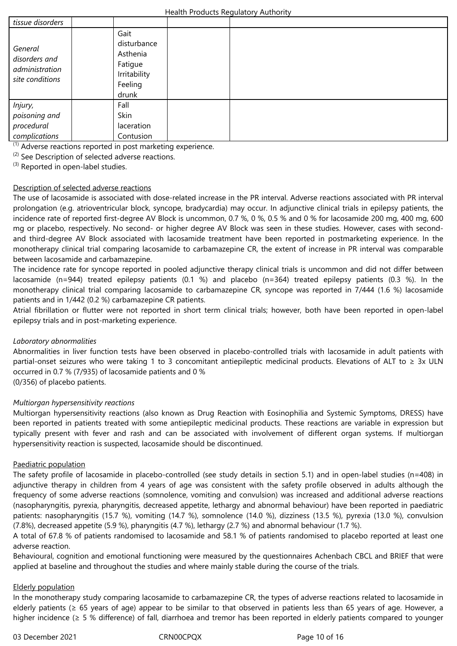| tissue disorders                                              |                                                                                |  |  |
|---------------------------------------------------------------|--------------------------------------------------------------------------------|--|--|
| General<br>disorders and<br>administration<br>site conditions | Gait<br>disturbance<br>Asthenia<br>Fatigue<br>Irritability<br>Feeling<br>drunk |  |  |
| Injury,<br>poisoning and                                      | Fall<br>Skin                                                                   |  |  |
| procedural<br>complications                                   | laceration<br>Contusion                                                        |  |  |
|                                                               |                                                                                |  |  |

(1) Adverse reactions reported in post marketing experience.

 $(2)$  See Description of selected adverse reactions.

<sup>(3)</sup> Reported in open-label studies.

## Description of selected adverse reactions

The use of lacosamide is associated with dose-related increase in the PR interval. Adverse reactions associated with PR interval prolongation (e.g. atrioventricular block, syncope, bradycardia) may occur. In adjunctive clinical trials in epilepsy patients, the incidence rate of reported first-degree AV Block is uncommon, 0.7 %, 0 %, 0.5 % and 0 % for lacosamide 200 mg, 400 mg, 600 mg or placebo, respectively. No second- or higher degree AV Block was seen in these studies. However, cases with secondand third-degree AV Block associated with lacosamide treatment have been reported in postmarketing experience. In the monotherapy clinical trial comparing lacosamide to carbamazepine CR, the extent of increase in PR interval was comparable between lacosamide and carbamazepine.

The incidence rate for syncope reported in pooled adjunctive therapy clinical trials is uncommon and did not differ between lacosamide (n=944) treated epilepsy patients (0.1 %) and placebo (n=364) treated epilepsy patients (0.3 %). In the monotherapy clinical trial comparing lacosamide to carbamazepine CR, syncope was reported in 7/444 (1.6 %) lacosamide patients and in 1/442 (0.2 %) carbamazepine CR patients.

Atrial fibrillation or flutter were not reported in short term clinical trials; however, both have been reported in open-label epilepsy trials and in post-marketing experience.

## *Laboratory abnormalities*

Abnormalities in liver function tests have been observed in placebo-controlled trials with lacosamide in adult patients with partial-onset seizures who were taking 1 to 3 concomitant antiepileptic medicinal products. Elevations of ALT to  $\geq 3x$  ULN occurred in 0.7 % (7/935) of lacosamide patients and 0 %

(0/356) of placebo patients.

## *Multiorgan hypersensitivity reactions*

Multiorgan hypersensitivity reactions (also known as Drug Reaction with Eosinophilia and Systemic Symptoms, DRESS) have been reported in patients treated with some antiepileptic medicinal products. These reactions are variable in expression but typically present with fever and rash and can be associated with involvement of different organ systems. If multiorgan hypersensitivity reaction is suspected, lacosamide should be discontinued.

## Paediatric population

The safety profile of lacosamide in placebo-controlled (see study details in section 5.1) and in open-label studies (n=408) in adjunctive therapy in children from 4 years of age was consistent with the safety profile observed in adults although the frequency of some adverse reactions (somnolence, vomiting and convulsion) was increased and additional adverse reactions (nasopharyngitis, pyrexia, pharyngitis, decreased appetite, lethargy and abnormal behaviour) have been reported in paediatric patients: nasopharyngitis (15.7 %), vomiting (14.7 %), somnolence (14.0 %), dizziness (13.5 %), pyrexia (13.0 %), convulsion (7.8%), decreased appetite (5.9 %), pharyngitis (4.7 %), lethargy (2.7 %) and abnormal behaviour (1.7 %).

A total of 67.8 % of patients randomised to lacosamide and 58.1 % of patients randomised to placebo reported at least one adverse reaction.

Behavioural, cognition and emotional functioning were measured by the questionnaires Achenbach CBCL and BRIEF that were applied at baseline and throughout the studies and where mainly stable during the course of the trials.

## Elderly population

In the monotherapy study comparing lacosamide to carbamazepine CR, the types of adverse reactions related to lacosamide in elderly patients (≥ 65 years of age) appear to be similar to that observed in patients less than 65 years of age. However, a higher incidence (≥ 5 % difference) of fall, diarrhoea and tremor has been reported in elderly patients compared to younger

03 December 2021 CRN00CPQX Page 10 of 16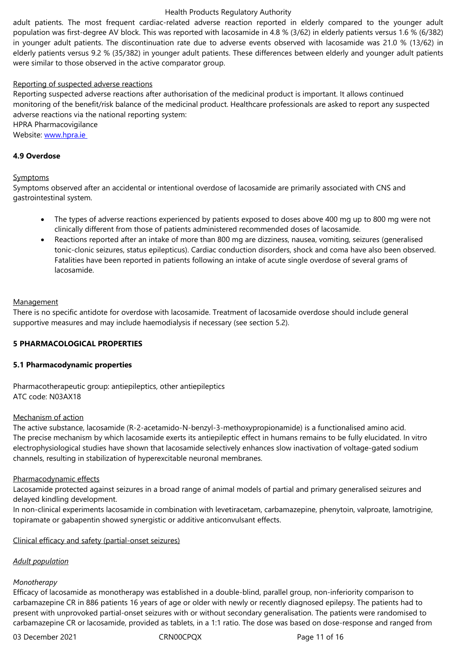in younger adult patients. The discontinuation rate due to adverse events observed with lacosamide was 21.0 % (13/62) in elderly patients versus 9.2 % (35/382) in younger adult patients. These differences between elderly and younger adult patients were similar to those observed in the active comparator group.

## Reporting of suspected adverse reactions

Reporting suspected adverse reactions after authorisation of the medicinal product is important. It allows continued monitoring of the benefit/risk balance of the medicinal product. Healthcare professionals are asked to report any suspected adverse reactions via the national reporting system: HPRA Pharmacovigilance

Website: www.hpra.ie

## **4.9 Overdose**

## **Sympto[ms](http://www.hpra.ie )**

Symptoms observed after an accidental or intentional overdose of lacosamide are primarily associated with CNS and gastrointestinal system.

- The types of adverse reactions experienced by patients exposed to doses above 400 mg up to 800 mg were not clinically different from those of patients administered recommended doses of lacosamide.
- Reactions reported after an intake of more than 800 mg are dizziness, nausea, vomiting, seizures (generalised tonic-clonic seizures, status epilepticus). Cardiac conduction disorders, shock and coma have also been observed. Fatalities have been reported in patients following an intake of acute single overdose of several grams of lacosamide.

#### **Management**

There is no specific antidote for overdose with lacosamide. Treatment of lacosamide overdose should include general supportive measures and may include haemodialysis if necessary (see section 5.2).

## **5 PHARMACOLOGICAL PROPERTIES**

## **5.1 Pharmacodynamic properties**

Pharmacotherapeutic group: antiepileptics, other antiepileptics ATC code: N03AX18

## Mechanism of action

The active substance, lacosamide (R-2-acetamido-N-benzyl-3-methoxypropionamide) is a functionalised amino acid. The precise mechanism by which lacosamide exerts its antiepileptic effect in humans remains to be fully elucidated. In vitro electrophysiological studies have shown that lacosamide selectively enhances slow inactivation of voltage-gated sodium channels, resulting in stabilization of hyperexcitable neuronal membranes.

#### Pharmacodynamic effects

Lacosamide protected against seizures in a broad range of animal models of partial and primary generalised seizures and delayed kindling development.

In non-clinical experiments lacosamide in combination with levetiracetam, carbamazepine, phenytoin, valproate, lamotrigine, topiramate or gabapentin showed synergistic or additive anticonvulsant effects.

## Clinical efficacy and safety (partial-onset seizures)

## *Adult population*

#### *Monotherapy*

Efficacy of lacosamide as monotherapy was established in a double-blind, parallel group, non-inferiority comparison to carbamazepine CR in 886 patients 16 years of age or older with newly or recently diagnosed epilepsy. The patients had to present with unprovoked partial-onset seizures with or without secondary generalisation. The patients were randomised to carbamazepine CR or lacosamide, provided as tablets, in a 1:1 ratio. The dose was based on dose-response and ranged from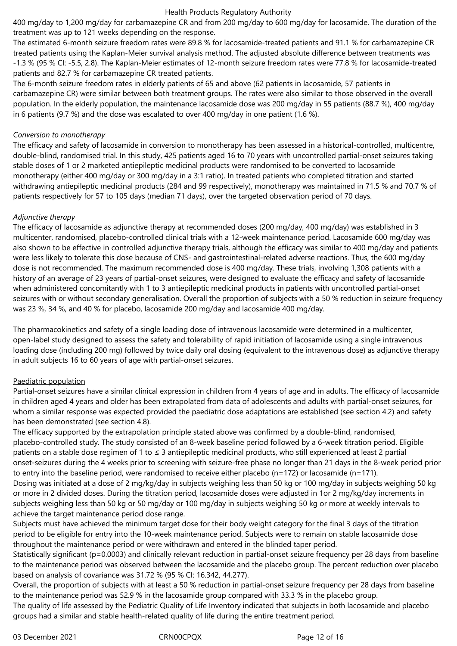400 mg/day to 1,200 mg/day for carbamazepine CR and from 200 mg/day to 600 mg/day for lacosamide. The duration of the treatment was up to 121 weeks depending on the response.

The estimated 6-month seizure freedom rates were 89.8 % for lacosamide-treated patients and 91.1 % for carbamazepine CR treated patients using the Kaplan-Meier survival analysis method. The adjusted absolute difference between treatments was -1.3 % (95 % CI: -5.5, 2.8). The Kaplan-Meier estimates of 12-month seizure freedom rates were 77.8 % for lacosamide-treated patients and 82.7 % for carbamazepine CR treated patients.

The 6-month seizure freedom rates in elderly patients of 65 and above (62 patients in lacosamide, 57 patients in carbamazepine CR) were similar between both treatment groups. The rates were also similar to those observed in the overall population. In the elderly population, the maintenance lacosamide dose was 200 mg/day in 55 patients (88.7 %), 400 mg/day in 6 patients (9.7 %) and the dose was escalated to over 400 mg/day in one patient (1.6 %).

## *Conversion to monotherapy*

The efficacy and safety of lacosamide in conversion to monotherapy has been assessed in a historical-controlled, multicentre, double-blind, randomised trial. In this study, 425 patients aged 16 to 70 years with uncontrolled partial-onset seizures taking stable doses of 1 or 2 marketed antiepileptic medicinal products were randomised to be converted to lacosamide monotherapy (either 400 mg/day or 300 mg/day in a 3:1 ratio). In treated patients who completed titration and started withdrawing antiepileptic medicinal products (284 and 99 respectively), monotherapy was maintained in 71.5 % and 70.7 % of patients respectively for 57 to 105 days (median 71 days), over the targeted observation period of 70 days.

## *Adjunctive therapy*

The efficacy of lacosamide as adjunctive therapy at recommended doses (200 mg/day, 400 mg/day) was established in 3 multicenter, randomised, placebo-controlled clinical trials with a 12-week maintenance period. Lacosamide 600 mg/day was also shown to be effective in controlled adjunctive therapy trials, although the efficacy was similar to 400 mg/day and patients were less likely to tolerate this dose because of CNS- and gastrointestinal-related adverse reactions. Thus, the 600 mg/day dose is not recommended. The maximum recommended dose is 400 mg/day. These trials, involving 1,308 patients with a history of an average of 23 years of partial-onset seizures, were designed to evaluate the efficacy and safety of lacosamide when administered concomitantly with 1 to 3 antiepileptic medicinal products in patients with uncontrolled partial-onset seizures with or without secondary generalisation. Overall the proportion of subjects with a 50 % reduction in seizure frequency was 23 %, 34 %, and 40 % for placebo, lacosamide 200 mg/day and lacosamide 400 mg/day.

The pharmacokinetics and safety of a single loading dose of intravenous lacosamide were determined in a multicenter, open-label study designed to assess the safety and tolerability of rapid initiation of lacosamide using a single intravenous loading dose (including 200 mg) followed by twice daily oral dosing (equivalent to the intravenous dose) as adjunctive therapy in adult subjects 16 to 60 years of age with partial-onset seizures.

# Paediatric population

Partial-onset seizures have a similar clinical expression in children from 4 years of age and in adults. The efficacy of lacosamide in children aged 4 years and older has been extrapolated from data of adolescents and adults with partial-onset seizures, for whom a similar response was expected provided the paediatric dose adaptations are established (see section 4.2) and safety has been demonstrated (see section 4.8).

The efficacy supported by the extrapolation principle stated above was confirmed by a double-blind, randomised, placebo-controlled study. The study consisted of an 8-week baseline period followed by a 6-week titration period. Eligible patients on a stable dose regimen of 1 to ≤ 3 antiepileptic medicinal products, who still experienced at least 2 partial onset-seizures during the 4 weeks prior to screening with seizure-free phase no longer than 21 days in the 8-week period prior to entry into the baseline period, were randomised to receive either placebo (n=172) or lacosamide (n=171). Dosing was initiated at a dose of 2 mg/kg/day in subjects weighing less than 50 kg or 100 mg/day in subjects weighing 50 kg or more in 2 divided doses. During the titration period, lacosamide doses were adjusted in 1or 2 mg/kg/day increments in subjects weighing less than 50 kg or 50 mg/day or 100 mg/day in subjects weighing 50 kg or more at weekly intervals to achieve the target maintenance period dose range.

Subjects must have achieved the minimum target dose for their body weight category for the final 3 days of the titration period to be eligible for entry into the 10-week maintenance period. Subjects were to remain on stable lacosamide dose throughout the maintenance period or were withdrawn and entered in the blinded taper period.

Statistically significant (p=0.0003) and clinically relevant reduction in partial-onset seizure frequency per 28 days from baseline to the maintenance period was observed between the lacosamide and the placebo group. The percent reduction over placebo based on analysis of covariance was 31.72 % (95 % CI: 16.342, 44.277).

Overall, the proportion of subjects with at least a 50 % reduction in partial-onset seizure frequency per 28 days from baseline to the maintenance period was 52.9 % in the lacosamide group compared with 33.3 % in the placebo group.

The quality of life assessed by the Pediatric Quality of Life Inventory indicated that subjects in both lacosamide and placebo groups had a similar and stable health-related quality of life during the entire treatment period.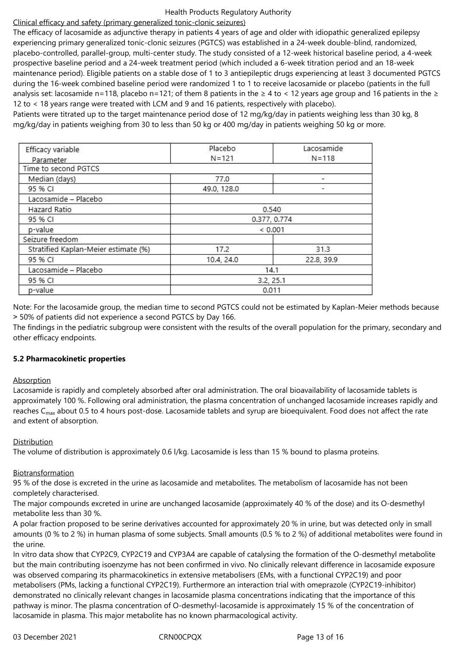## Clinical efficacy and safety (primary generalized tonic-clonic seizures)

The efficacy of lacosamide as adjunctive therapy in patients 4 years of age and older with idiopathic generalized epilepsy experiencing primary generalized tonic-clonic seizures (PGTCS) was established in a 24-week double-blind, randomized, placebo-controlled, parallel-group, multi-center study. The study consisted of a 12-week historical baseline period, a 4-week prospective baseline period and a 24-week treatment period (which included a 6-week titration period and an 18-week maintenance period). Eligible patients on a stable dose of 1 to 3 antiepileptic drugs experiencing at least 3 documented PGTCS during the 16-week combined baseline period were randomized 1 to 1 to receive lacosamide or placebo (patients in the full analysis set: lacosamide n=118, placebo n=121; of them 8 patients in the  $\geq 4$  to < 12 years age group and 16 patients in the  $\geq$ 12 to < 18 years range were treated with LCM and 9 and 16 patients, respectively with placebo).

Patients were titrated up to the target maintenance period dose of 12 mg/kg/day in patients weighing less than 30 kg, 8 mg/kg/day in patients weighing from 30 to less than 50 kg or 400 mg/day in patients weighing 50 kg or more.

| Efficacy variable                    | Placebo      | Lacosamide |  |
|--------------------------------------|--------------|------------|--|
| Parameter                            | $N = 121$    | $N = 118$  |  |
| Time to second PGTCS                 |              |            |  |
| Median (days)                        | 77.0         | 2          |  |
| 95 % CI                              | 49.0, 128.0  | a.         |  |
| Lacosamide - Placebo                 |              |            |  |
| Hazard Ratio                         | 0.540        |            |  |
| 95 % CI                              | 0.377, 0.774 |            |  |
| p-value                              | < 0.001      |            |  |
| Seizure freedom                      |              |            |  |
| Stratified Kaplan-Meier estimate (%) | 17.2         | 31.3       |  |
| 95 % CI                              | 10.4, 24.0   | 22.8, 39.9 |  |
| Lacosamide - Placebo                 | 14.1         |            |  |
| 95 % CI                              | 3.2, 25.1    |            |  |
| p-value                              | 0.011        |            |  |

Note: For the lacosamide group, the median time to second PGTCS could not be estimated by Kaplan-Meier methods because ˃ 50% of patients did not experience a second PGTCS by Day 166.

The findings in the pediatric subgroup were consistent with the results of the overall population for the primary, secondary and other efficacy endpoints.

## **5.2 Pharmacokinetic properties**

## **Absorption**

Lacosamide is rapidly and completely absorbed after oral administration. The oral bioavailability of lacosamide tablets is approximately 100 %. Following oral administration, the plasma concentration of unchanged lacosamide increases rapidly and reaches  $C_{\text{max}}$  about 0.5 to 4 hours post-dose. Lacosamide tablets and syrup are bioequivalent. Food does not affect the rate and extent of absorption.

# Distribution

The volume of distribution is approximately 0.6 l/kg. Lacosamide is less than 15 % bound to plasma proteins.

# Biotransformation

95 % of the dose is excreted in the urine as lacosamide and metabolites. The metabolism of lacosamide has not been completely characterised.

The major compounds excreted in urine are unchanged lacosamide (approximately 40 % of the dose) and its O-desmethyl metabolite less than 30 %.

A polar fraction proposed to be serine derivatives accounted for approximately 20 % in urine, but was detected only in small amounts (0 % to 2 %) in human plasma of some subjects. Small amounts (0.5 % to 2 %) of additional metabolites were found in the urine.

In vitro data show that CYP2C9, CYP2C19 and CYP3A4 are capable of catalysing the formation of the O-desmethyl metabolite but the main contributing isoenzyme has not been confirmed in vivo. No clinically relevant difference in lacosamide exposure was observed comparing its pharmacokinetics in extensive metabolisers (EMs, with a functional CYP2C19) and poor metabolisers (PMs, lacking a functional CYP2C19). Furthermore an interaction trial with omeprazole (CYP2C19-inhibitor) demonstrated no clinically relevant changes in lacosamide plasma concentrations indicating that the importance of this pathway is minor. The plasma concentration of O-desmethyl-lacosamide is approximately 15 % of the concentration of lacosamide in plasma. This major metabolite has no known pharmacological activity.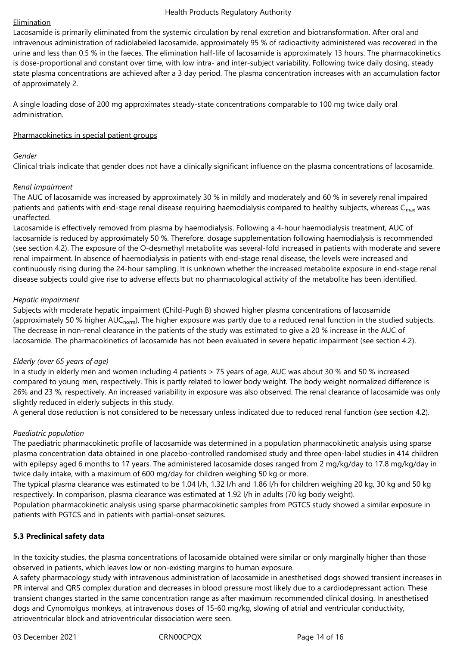## Elimination

Lacosamide is primarily eliminated from the systemic circulation by renal excretion and biotransformation. After oral and intravenous administration of radiolabeled lacosamide, approximately 95 % of radioactivity administered was recovered in the urine and less than 0.5 % in the faeces. The elimination half-life of lacosamide is approximately 13 hours. The pharmacokinetics is dose-proportional and constant over time, with low intra- and inter-subject variability. Following twice daily dosing, steady state plasma concentrations are achieved after a 3 day period. The plasma concentration increases with an accumulation factor of approximately 2.

A single loading dose of 200 mg approximates steady-state concentrations comparable to 100 mg twice daily oral administration.

## Pharmacokinetics in special patient groups

## *Gender*

Clinical trials indicate that gender does not have a clinically significant influence on the plasma concentrations of lacosamide.

# *Renal impairment*

The AUC of lacosamide was increased by approximately 30 % in mildly and moderately and 60 % in severely renal impaired patients and patients with end-stage renal disease requiring haemodialysis compared to healthy subjects, whereas  $C_{\text{max}}$  was unaffected.

Lacosamide is effectively removed from plasma by haemodialysis. Following a 4-hour haemodialysis treatment, AUC of lacosamide is reduced by approximately 50 %. Therefore, dosage supplementation following haemodialysis is recommended (see section 4.2). The exposure of the O-desmethyl metabolite was several-fold increased in patients with moderate and severe renal impairment. In absence of haemodialysis in patients with end-stage renal disease, the levels were increased and continuously rising during the 24-hour sampling. It is unknown whether the increased metabolite exposure in end-stage renal disease subjects could give rise to adverse effects but no pharmacological activity of the metabolite has been identified.

## *Hepatic impairment*

Subjects with moderate hepatic impairment (Child-Pugh B) showed higher plasma concentrations of lacosamide (approximately 50 % higher AUC<sub>norm</sub>). The higher exposure was partly due to a reduced renal function in the studied subjects. The decrease in non-renal clearance in the patients of the study was estimated to give a 20 % increase in the AUC of lacosamide. The pharmacokinetics of lacosamide has not been evaluated in severe hepatic impairment (see section 4.2).

# *Elderly (over 65 years of age)*

In a study in elderly men and women including 4 patients > 75 years of age, AUC was about 30 % and 50 % increased compared to young men, respectively. This is partly related to lower body weight. The body weight normalized difference is 26% and 23 %, respectively. An increased variability in exposure was also observed. The renal clearance of lacosamide was only slightly reduced in elderly subjects in this study.

A general dose reduction is not considered to be necessary unless indicated due to reduced renal function (see section 4.2).

# *Paediatric population*

The paediatric pharmacokinetic profile of lacosamide was determined in a population pharmacokinetic analysis using sparse plasma concentration data obtained in one placebo-controlled randomised study and three open-label studies in 414 children with epilepsy aged 6 months to 17 years. The administered lacosamide doses ranged from 2 mg/kg/day to 17.8 mg/kg/day in twice daily intake, with a maximum of 600 mg/day for children weighing 50 kg or more.

The typical plasma clearance was estimated to be 1.04 l/h, 1.32 l/h and 1.86 l/h for children weighing 20 kg, 30 kg and 50 kg respectively. In comparison, plasma clearance was estimated at 1.92 l/h in adults (70 kg body weight).

Population pharmacokinetic analysis using sparse pharmacokinetic samples from PGTCS study showed a similar exposure in patients with PGTCS and in patients with partial-onset seizures.

# **5.3 Preclinical safety data**

In the toxicity studies, the plasma concentrations of lacosamide obtained were similar or only marginally higher than those observed in patients, which leaves low or non-existing margins to human exposure.

A safety pharmacology study with intravenous administration of lacosamide in anesthetised dogs showed transient increases in PR interval and QRS complex duration and decreases in blood pressure most likely due to a cardiodepressant action. These transient changes started in the same concentration range as after maximum recommended clinical dosing. In anesthetised dogs and Cynomolgus monkeys, at intravenous doses of 15-60 mg/kg, slowing of atrial and ventricular conductivity, atrioventricular block and atrioventricular dissociation were seen.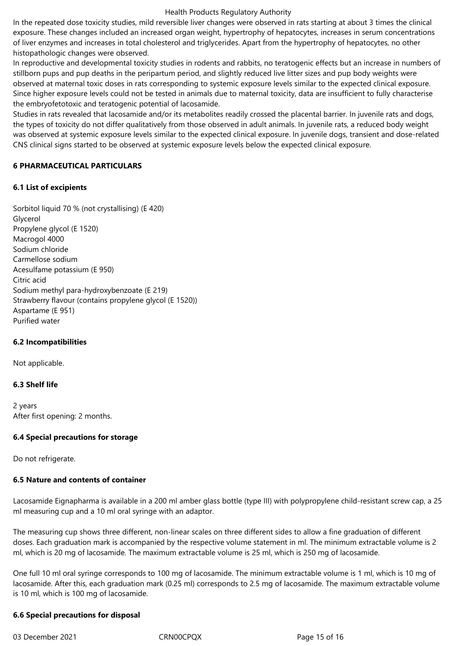In the repeated dose toxicity studies, mild reversible liver changes were observed in rats starting at about 3 times the clinical exposure. These changes included an increased organ weight, hypertrophy of hepatocytes, increases in serum concentrations of liver enzymes and increases in total cholesterol and triglycerides. Apart from the hypertrophy of hepatocytes, no other histopathologic changes were observed.

In reproductive and developmental toxicity studies in rodents and rabbits, no teratogenic effects but an increase in numbers of stillborn pups and pup deaths in the peripartum period, and slightly reduced live litter sizes and pup body weights were observed at maternal toxic doses in rats corresponding to systemic exposure levels similar to the expected clinical exposure. Since higher exposure levels could not be tested in animals due to maternal toxicity, data are insufficient to fully characterise the embryofetotoxic and teratogenic potential of lacosamide.

Studies in rats revealed that lacosamide and/or its metabolites readily crossed the placental barrier. In juvenile rats and dogs, the types of toxicity do not differ qualitatively from those observed in adult animals. In juvenile rats, a reduced body weight was observed at systemic exposure levels similar to the expected clinical exposure. In juvenile dogs, transient and dose-related CNS clinical signs started to be observed at systemic exposure levels below the expected clinical exposure.

## **6 PHARMACEUTICAL PARTICULARS**

## **6.1 List of excipients**

Sorbitol liquid 70 % (not crystallising) (E 420) Glycerol Propylene glycol (E 1520) Macrogol 4000 Sodium chloride Carmellose sodium Acesulfame potassium (E 950) Citric acid Sodium methyl para-hydroxybenzoate (E 219) Strawberry flavour (contains propylene glycol (E 1520)) Aspartame (E 951) Purified water

## **6.2 Incompatibilities**

Not applicable.

# **6.3 Shelf life**

2 years After first opening: 2 months.

## **6.4 Special precautions for storage**

Do not refrigerate.

# **6.5 Nature and contents of container**

Lacosamide Eignapharma is available in a 200 ml amber glass bottle (type III) with polypropylene child-resistant screw cap, a 25 ml measuring cup and a 10 ml oral syringe with an adaptor.

The measuring cup shows three different, non-linear scales on three different sides to allow a fine graduation of different doses. Each graduation mark is accompanied by the respective volume statement in ml. The minimum extractable volume is 2 ml, which is 20 mg of lacosamide. The maximum extractable volume is 25 ml, which is 250 mg of lacosamide.

One full 10 ml oral syringe corresponds to 100 mg of lacosamide. The minimum extractable volume is 1 ml, which is 10 mg of lacosamide. After this, each graduation mark (0.25 ml) corresponds to 2.5 mg of lacosamide. The maximum extractable volume is 10 ml, which is 100 mg of lacosamide.

## **6.6 Special precautions for disposal**

03 December 2021 CRN00CPQX Page 15 of 16